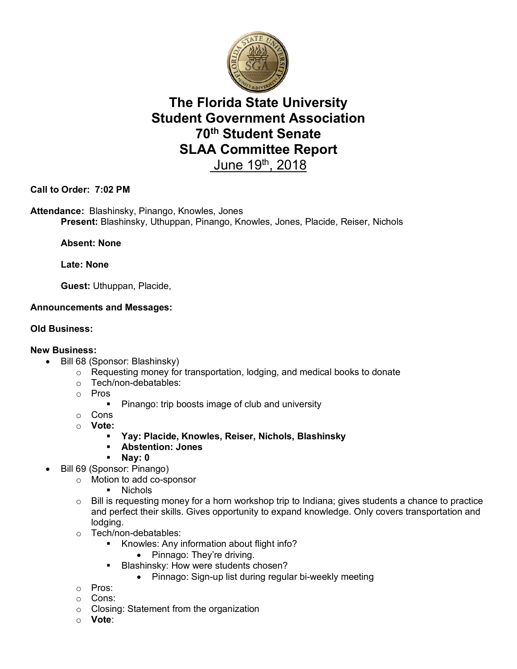

# **The Florida State University Student Government Association 70th Student Senate SLAA Committee Report**  June 19th, 2018

**Call to Order: 7:02 PM**

**Attendance:** Blashinsky, Pinango, Knowles, Jones **Present:** Blashinsky, Uthuppan, Pinango, Knowles, Jones, Placide, Reiser, Nichols

## **Absent: None**

**Late: None** 

**Guest:** Uthuppan, Placide,

## **Announcements and Messages:**

#### **Old Business:**

#### **New Business:**

- Bill 68 (Sponsor: Blashinsky)
	- o Requesting money for transportation, lodging, and medical books to donate
	- o Tech/non-debatables:
	- o Pros
		- Pinango: trip boosts image of club and university
	- o Cons
	- o **Vote:**
		- § **Yay: Placide, Knowles, Reiser, Nichols, Blashinsky**
		- § **Abstention: Jones**
		- § **Nay: 0**
	- Bill 69 (Sponsor: Pinango)
		- o Motion to add co-sponsor
			- § Nichols
		- $\circ$  Bill is requesting money for a horn workshop trip to Indiana; gives students a chance to practice and perfect their skills. Gives opportunity to expand knowledge. Only covers transportation and lodging.
		- o Tech/non-debatables:
			- § Knowles: Any information about flight info?
				- Pinnago: They're driving.
			- **Blashinsky: How were students chosen?** 
				- Pinnago: Sign-up list during regular bi-weekly meeting
		- o Pros:
		- o Cons:
		- o Closing: Statement from the organization
		- o **Vote**: